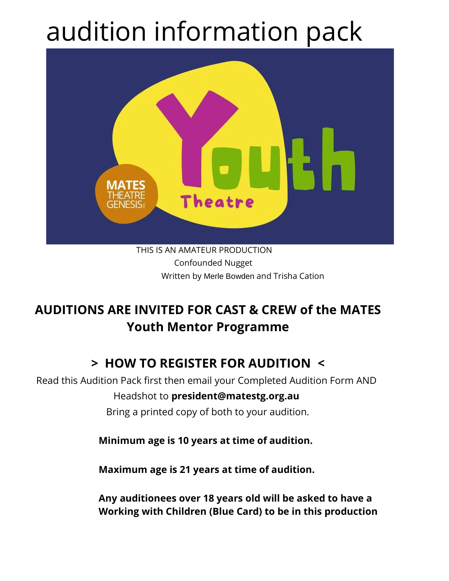# audition information pack



Confounded Nugget Written by Merle Bowden and Trisha Cation

### **AUDITIONS ARE INVITED FOR CAST & CREW of the MATES Youth Mentor Programme**

### **> HOW TO REGISTER FOR AUDITION <**

Read this Audition Pack first then email your Completed Audition Form AND Headshot to **president@matestg.org.au**  Bring a printed copy of both to your audition.

**Minimum age is 10 years at time of audition.** 

**Maximum age is 21 years at time of audition.**

**Any auditionees over 18 years old will be asked to have a Working with Children (Blue Card) to be in this production**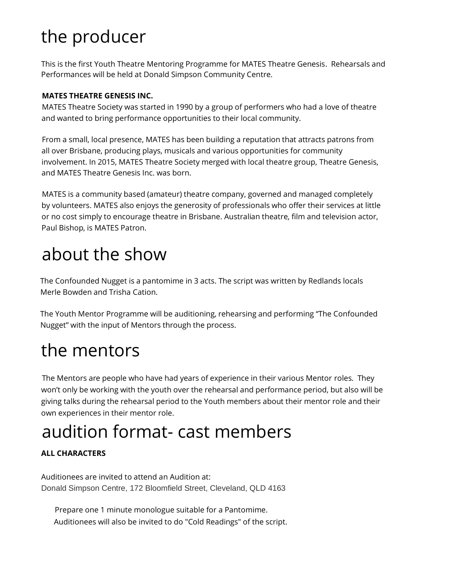# the producer

This is the first Youth Theatre Mentoring Programme for MATES Theatre Genesis. Rehearsals and Performances will be held at Donald Simpson Community Centre.

### **MATES THEATRE GENESIS INC.**

MATES Theatre Society was started in 1990 by a group of performers who had a love of theatre and wanted to bring performance opportunities to their local community.

From a small, local presence, MATES has been building a reputation that attracts patrons from all over Brisbane, producing plays, musicals and various opportunities for community involvement. In 2015, MATES Theatre Society merged with local theatre group, Theatre Genesis, and MATES Theatre Genesis Inc. was born.

MATES is a community based (amateur) theatre company, governed and managed completely by volunteers. MATES also enjoys the generosity of professionals who offer their services at little or no cost simply to encourage theatre in Brisbane. Australian theatre, film and television actor, Paul Bishop, is MATES Patron.

# about the show

The Confounded Nugget is a pantomime in 3 acts. The script was written by Redlands locals Merle Bowden and Trisha Cation.

The Youth Mentor Programme will be auditioning, rehearsing and performing "The Confounded Nugget" with the input of Mentors through the process.

### the mentors

The Mentors are people who have had years of experience in their various Mentor roles. They won't only be working with the youth over the rehearsal and performance period, but also will be giving talks during the rehearsal period to the Youth members about their mentor role and their own experiences in their mentor role.

# audition format- cast members

### **ALL CHARACTERS**

Auditionees are invited to attend an Audition at: Donald Simpson Centre, 172 Bloomfield Street, Cleveland, QLD 4163

Prepare one 1 minute monologue suitable for a Pantomime. Auditionees will also be invited to do "Cold Readings" of the script.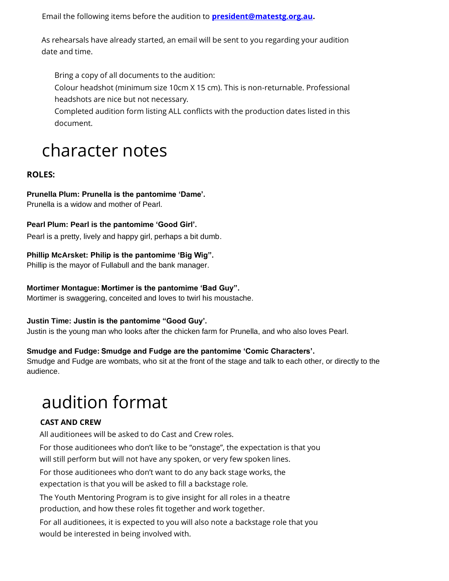Email the following items before the audition to **president@matestg.org.au.**

As rehearsals have already started, an email will be sent to you regarding your audition date and time.

Bring a copy of all documents to the audition:

Colour headshot (minimum size 10cm X 15 cm). This is non-returnable. Professional headshots are nice but not necessary.

Completed audition form listing ALL conflicts with the production dates listed in this document.

### character notes

### **ROLES:**

### **Prunella Plum: Prunella is the pantomime 'Dame'.**

Prunella is a widow and mother of Pearl.

#### **Pearl Plum: Pearl is the pantomime 'Good Girl'.**

Pearl is a pretty, lively and happy girl, perhaps a bit dumb.

### **Phillip McArsket: Philip is the pantomime 'Big Wig".**

Phillip is the mayor of Fullabull and the bank manager.

#### **Mortimer Montague: Mortimer is the pantomime 'Bad Guy".**

Mortimer is swaggering, conceited and loves to twirl his moustache.

#### **Justin Time: Justin is the pantomime "Good Guy'.**

Justin is the young man who looks after the chicken farm for Prunella, and who also loves Pearl.

### **Smudge and Fudge: Smudge and Fudge are the pantomime 'Comic Characters'.**

Smudge and Fudge are wombats, who sit at the front of the stage and talk to each other, or directly to the audience.

### audition format

### **CAST AND CREW**

All auditionees will be asked to do Cast and Crew roles.

For those auditionees who don't like to be "onstage", the expectation is that you

will still perform but will not have any spoken, or very few spoken lines.

For those auditionees who don't want to do any back stage works, the

expectation is that you will be asked to fill a backstage role.

The Youth Mentoring Program is to give insight for all roles in a theatre production, and how these roles fit together and work together.

For all auditionees, it is expected to you will also note a backstage role that you would be interested in being involved with.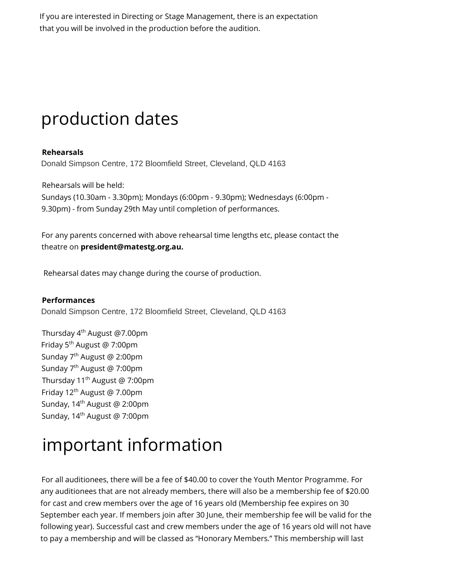If you are interested in Directing or Stage Management, there is an expectation that you will be involved in the production before the audition.

### production dates

### **Rehearsals**

Donald Simpson Centre, 172 Bloomfield Street, Cleveland, QLD 4163

Rehearsals will be held: Sundays (10.30am - 3.30pm); Mondays (6:00pm - 9.30pm); Wednesdays (6:00pm - 9.30pm) - from Sunday 29th May until completion of performances.

For any parents concerned with above rehearsal time lengths etc, please contact the theatre on **president@matestg.org.au.**

Rehearsal dates may change during the course of production.

### **Performances**

Donald Simpson Centre, 172 Bloomfield Street, Cleveland, QLD 4163

Thursday 4th August @7.00pm Friday 5th August @ 7:00pm Sunday 7th August @ 2:00pm Sunday 7 th August @ 7:00pm Thursday 11<sup>th</sup> August @ 7:00pm Friday 12th August @ 7.00pm Sunday, 14<sup>th</sup> August @ 2:00pm Sunday, 14<sup>th</sup> August @ 7:00pm

### important information

For all auditionees, there will be a fee of \$40.00 to cover the Youth Mentor Programme. For any auditionees that are not already members, there will also be a membership fee of \$20.00 for cast and crew members over the age of 16 years old (Membership fee expires on 30 September each year. If members join after 30 June, their membership fee will be valid for the following year). Successful cast and crew members under the age of 16 years old will not have to pay a membership and will be classed as "Honorary Members." This membership will last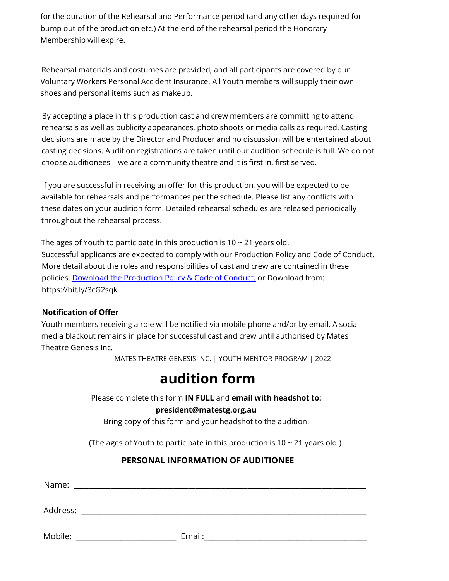for the duration of the Rehearsal and Performance period (and any other days required for bump out of the production etc.) At the end of the rehearsal period the Honorary Membership will expire.

Rehearsal materials and costumes are provided, and all participants are covered by our Voluntary Workers Personal Accident Insurance. All Youth members will supply their own shoes and personal items such as makeup.

By accepting a place in this production cast and crew members are committing to attend rehearsals as well as publicity appearances, photo shoots or media calls as required. Casting decisions are made by the Director and Producer and no discussion will be entertained about casting decisions. Audition registrations are taken until our audition schedule is full. We do not choose auditionees – we are a community theatre and it is first in, first served.

If you are successful in receiving an offer for this production, you will be expected to be available for rehearsals and performances per the schedule. Please list any conflicts with these dates on your audition form. Detailed rehearsal schedules are released periodically throughout the rehearsal process.

The ages of Youth to participate in this production is  $10 \sim 21$  years old. Successful applicants are expected to comply with our Production Policy and Code of Conduct. More detail about the roles and responsibilities of cast and crew are contained in these policies. Download the Production Policy & Code of Conduct. or Download from: https://bit.ly/3cG2sqk

### **Notification of Offer**

Youth members receiving a role will be notified via mobile phone and/or by email. A social media blackout remains in place for successful cast and crew until authorised by Mates Theatre Genesis Inc.

MATES THEATRE GENESIS INC. | YOUTH MENTOR PROGRAM | 2022

### **audition form**

Please complete this form **IN FULL** and **email with headshot to:** 

#### **president@matestg.org.au**

Bring copy of this form and your headshot to the audition.

(The ages of Youth to participate in this production is 10  $\sim$  21 years old.)

### **PERSONAL INFORMATION OF AUDITIONEE**

| Name:    |        |
|----------|--------|
| Address: |        |
| Mobile:  | Email: |